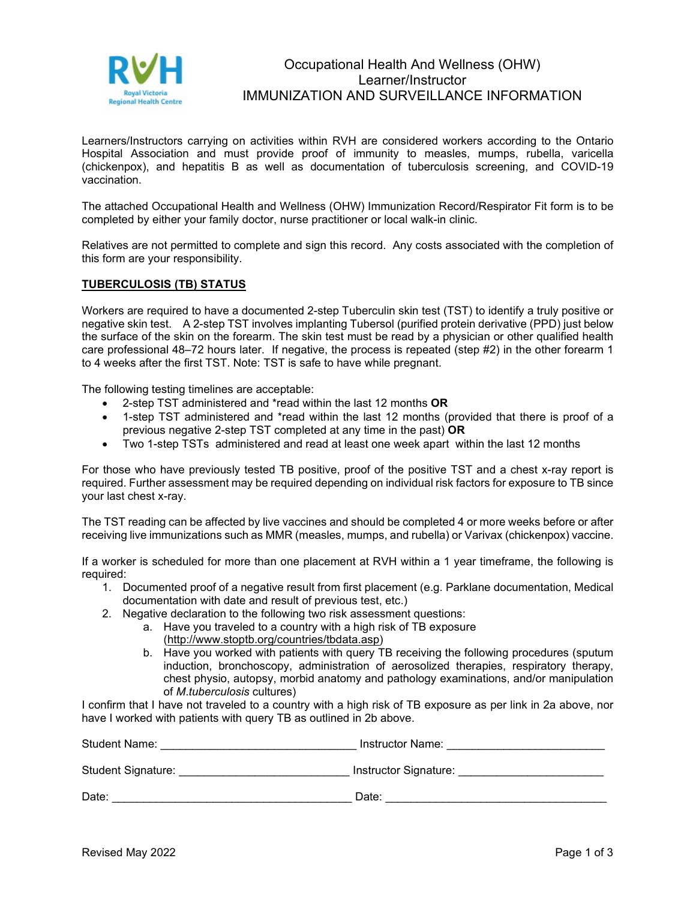

# Occupational Health And Wellness (OHW) Learner/Instructor IMMUNIZATION AND SURVEILLANCE INFORMATION

Learners/Instructors carrying on activities within RVH are considered workers according to the Ontario Hospital Association and must provide proof of immunity to measles, mumps, rubella, varicella (chickenpox), and hepatitis B as well as documentation of tuberculosis screening, and COVID-19 vaccination.

The attached Occupational Health and Wellness (OHW) Immunization Record/Respirator Fit form is to be completed by either your family doctor, nurse practitioner or local walk-in clinic.

Relatives are not permitted to complete and sign this record. Any costs associated with the completion of this form are your responsibility.

### **TUBERCULOSIS (TB) STATUS**

Workers are required to have a documented 2-step Tuberculin skin test (TST) to identify a truly positive or negative skin test. A 2-step TST involves implanting Tubersol (purified protein derivative (PPD) just below the surface of the skin on the forearm. The skin test must be read by a physician or other qualified health care professional 48–72 hours later. If negative, the process is repeated (step #2) in the other forearm 1 to 4 weeks after the first TST. Note: TST is safe to have while pregnant.

The following testing timelines are acceptable:

- 2-step TST administered and \*read within the last 12 months **OR**
- 1-step TST administered and \*read within the last 12 months (provided that there is proof of a previous negative 2-step TST completed at any time in the past) **OR**
- Two 1-step TSTs administered and read at least one week apart within the last 12 months

For those who have previously tested TB positive, proof of the positive TST and a chest x-ray report is required. Further assessment may be required depending on individual risk factors for exposure to TB since your last chest x-ray.

The TST reading can be affected by live vaccines and should be completed 4 or more weeks before or after receiving live immunizations such as MMR (measles, mumps, and rubella) or Varivax (chickenpox) vaccine.

If a worker is scheduled for more than one placement at RVH within a 1 year timeframe, the following is required:

- 1. Documented proof of a negative result from first placement (e.g. Parklane documentation, Medical documentation with date and result of previous test, etc.)
- 2. Negative declaration to the following two risk assessment questions:
	- a. Have you traveled to a country with a high risk of TB exposure [\(http://www.stoptb.org/countries/tbdata.asp\)](http://www.stoptb.org/countries/tbdata.asp)
	- b. Have you worked with patients with query TB receiving the following procedures (sputum induction, bronchoscopy, administration of aerosolized therapies, respiratory therapy, chest physio, autopsy, morbid anatomy and pathology examinations, and/or manipulation of *M*.*tuberculosis* cultures)

I confirm that I have not traveled to a country with a high risk of TB exposure as per link in 2a above, nor have I worked with patients with query TB as outlined in 2b above.

| <b>Student Name:</b>      | Instructor Name:      |
|---------------------------|-----------------------|
| <b>Student Signature:</b> | Instructor Signature: |
| Date:                     | Date:                 |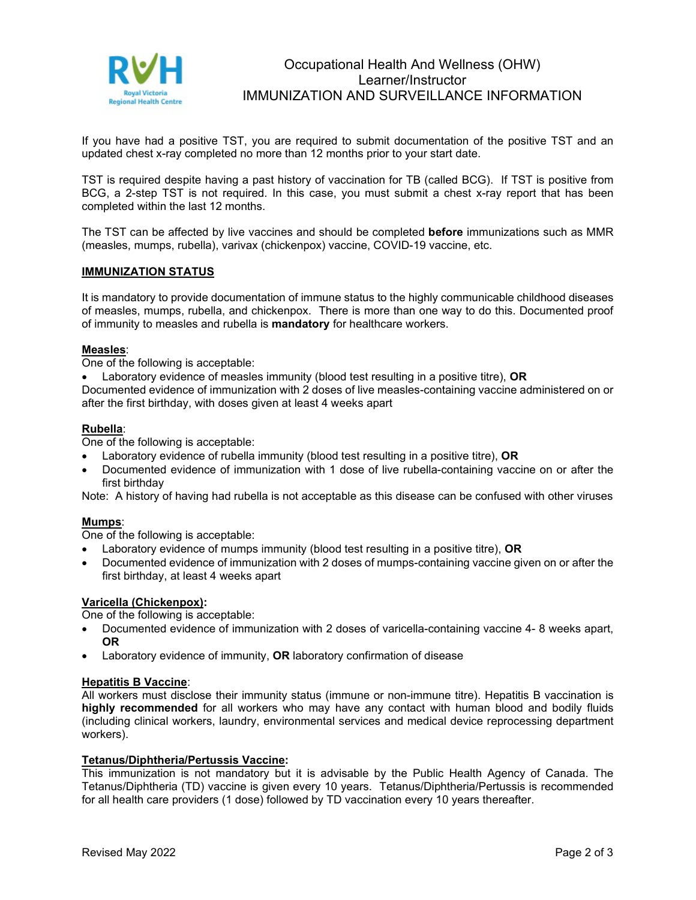

# Occupational Health And Wellness (OHW) Learner/Instructor IMMUNIZATION AND SURVEILLANCE INFORMATION

If you have had a positive TST, you are required to submit documentation of the positive TST and an updated chest x-ray completed no more than 12 months prior to your start date.

TST is required despite having a past history of vaccination for TB (called BCG). If TST is positive from BCG, a 2-step TST is not required. In this case, you must submit a chest x-ray report that has been completed within the last 12 months.

The TST can be affected by live vaccines and should be completed **before** immunizations such as MMR (measles, mumps, rubella), varivax (chickenpox) vaccine, COVID-19 vaccine, etc.

## **IMMUNIZATION STATUS**

It is mandatory to provide documentation of immune status to the highly communicable childhood diseases of measles, mumps, rubella, and chickenpox. There is more than one way to do this. Documented proof of immunity to measles and rubella is **mandatory** for healthcare workers.

### **Measles**:

One of the following is acceptable:

• Laboratory evidence of measles immunity (blood test resulting in a positive titre), **OR**

Documented evidence of immunization with 2 doses of live measles-containing vaccine administered on or after the first birthday, with doses given at least 4 weeks apart

## **Rubella**:

One of the following is acceptable:

- Laboratory evidence of rubella immunity (blood test resulting in a positive titre), **OR**
- Documented evidence of immunization with 1 dose of live rubella-containing vaccine on or after the first birthday

Note: A history of having had rubella is not acceptable as this disease can be confused with other viruses

### **Mumps**:

One of the following is acceptable:

- Laboratory evidence of mumps immunity (blood test resulting in a positive titre), **OR**
- Documented evidence of immunization with 2 doses of mumps-containing vaccine given on or after the first birthday, at least 4 weeks apart

### **Varicella (Chickenpox):**

One of the following is acceptable:

- Documented evidence of immunization with 2 doses of varicella-containing vaccine 4- 8 weeks apart, **OR**
- Laboratory evidence of immunity, **OR** laboratory confirmation of disease

### **Hepatitis B Vaccine**:

All workers must disclose their immunity status (immune or non-immune titre). Hepatitis B vaccination is **highly recommended** for all workers who may have any contact with human blood and bodily fluids (including clinical workers, laundry, environmental services and medical device reprocessing department workers).

## **Tetanus/Diphtheria/Pertussis Vaccine:**

This immunization is not mandatory but it is advisable by the Public Health Agency of Canada. The Tetanus/Diphtheria (TD) vaccine is given every 10 years. Tetanus/Diphtheria/Pertussis is recommended for all health care providers (1 dose) followed by TD vaccination every 10 years thereafter.